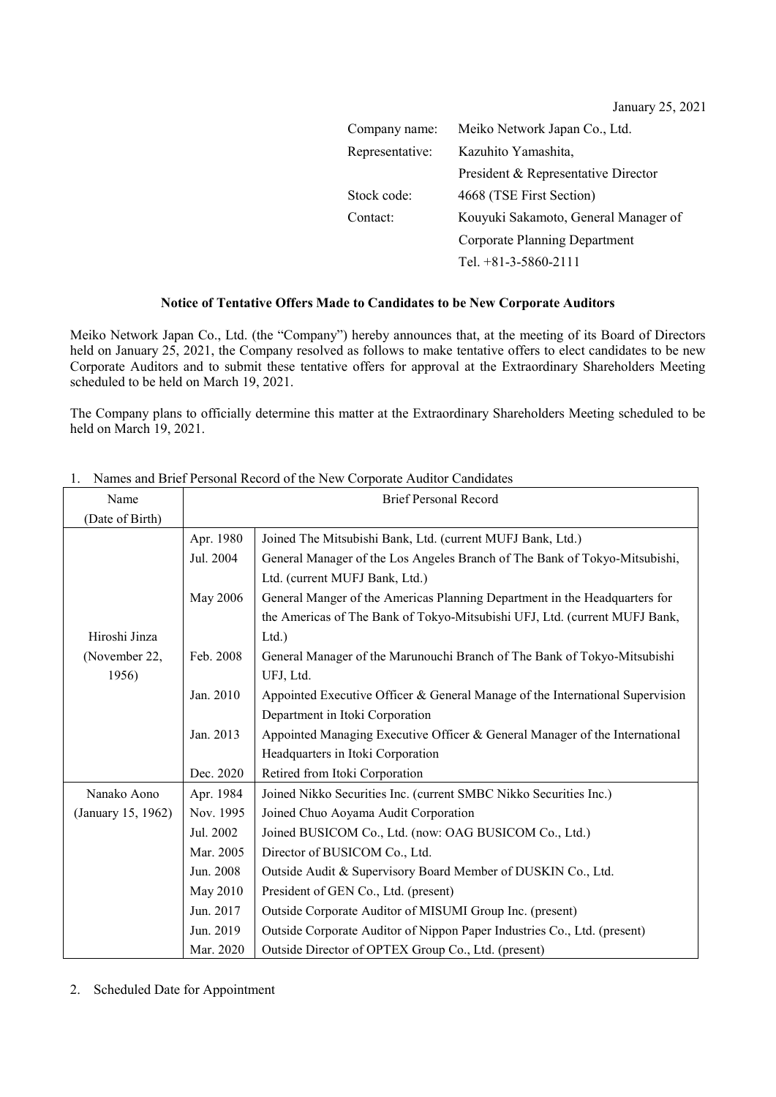January 25, 2021

| Company name:   | Meiko Network Japan Co., Ltd.        |
|-----------------|--------------------------------------|
| Representative: | Kazuhito Yamashita,                  |
|                 | President & Representative Director  |
| Stock code:     | 4668 (TSE First Section)             |
| Contact:        | Kouyuki Sakamoto, General Manager of |
|                 | Corporate Planning Department        |
|                 | Tel. $+81-3-5860-2111$               |

## **Notice of Tentative Offers Made to Candidates to be New Corporate Auditors**

Meiko Network Japan Co., Ltd. (the "Company") hereby announces that, at the meeting of its Board of Directors held on January 25, 2021, the Company resolved as follows to make tentative offers to elect candidates to be new Corporate Auditors and to submit these tentative offers for approval at the Extraordinary Shareholders Meeting scheduled to be held on March 19, 2021.

The Company plans to officially determine this matter at the Extraordinary Shareholders Meeting scheduled to be held on March 19, 2021.

| Name               | <b>Brief Personal Record</b> |                                                                               |
|--------------------|------------------------------|-------------------------------------------------------------------------------|
| (Date of Birth)    |                              |                                                                               |
|                    | Apr. 1980                    | Joined The Mitsubishi Bank, Ltd. (current MUFJ Bank, Ltd.)                    |
|                    | Jul. 2004                    | General Manager of the Los Angeles Branch of The Bank of Tokyo-Mitsubishi,    |
|                    |                              | Ltd. (current MUFJ Bank, Ltd.)                                                |
|                    | May 2006                     | General Manger of the Americas Planning Department in the Headquarters for    |
|                    |                              | the Americas of The Bank of Tokyo-Mitsubishi UFJ, Ltd. (current MUFJ Bank,    |
| Hiroshi Jinza      |                              | Ltd.                                                                          |
| (November 22,      | Feb. 2008                    | General Manager of the Marunouchi Branch of The Bank of Tokyo-Mitsubishi      |
| 1956)              |                              | UFJ, Ltd.                                                                     |
|                    | Jan. 2010                    | Appointed Executive Officer & General Manage of the International Supervision |
|                    |                              | Department in Itoki Corporation                                               |
|                    | Jan. 2013                    | Appointed Managing Executive Officer & General Manager of the International   |
|                    |                              | Headquarters in Itoki Corporation                                             |
|                    | Dec. 2020                    | Retired from Itoki Corporation                                                |
| Nanako Aono        | Apr. 1984                    | Joined Nikko Securities Inc. (current SMBC Nikko Securities Inc.)             |
| (January 15, 1962) | Nov. 1995                    | Joined Chuo Aoyama Audit Corporation                                          |
|                    | Jul. 2002                    | Joined BUSICOM Co., Ltd. (now: OAG BUSICOM Co., Ltd.)                         |
|                    | Mar. 2005                    | Director of BUSICOM Co., Ltd.                                                 |
|                    | Jun. 2008                    | Outside Audit & Supervisory Board Member of DUSKIN Co., Ltd.                  |
|                    | May 2010                     | President of GEN Co., Ltd. (present)                                          |
|                    | Jun. 2017                    | Outside Corporate Auditor of MISUMI Group Inc. (present)                      |
|                    | Jun. 2019                    | Outside Corporate Auditor of Nippon Paper Industries Co., Ltd. (present)      |
|                    | Mar. 2020                    | Outside Director of OPTEX Group Co., Ltd. (present)                           |

## 1. Names and Brief Personal Record of the New Corporate Auditor Candidates

2. Scheduled Date for Appointment